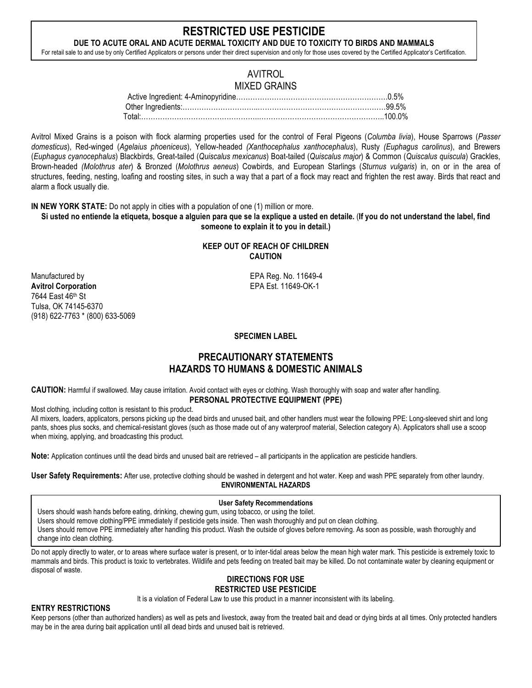# **RESTRICTED USE PESTICIDE**

**DUE TO ACUTE ORAL AND ACUTE DERMAL TOXICITY AND DUE TO TOXICITY TO BIRDS AND MAMMALS** For retail sale to and use by only Certified Applicators or persons under their direct supervision and only for those uses covered by the Certified Applicator's Certification.

## AVITROL MIXED GRAINS

| Total:……………………………………………………………………………………………100.0% |  |
|-------------------------------------------------|--|

Avitrol Mixed Grains is a poison with flock alarming properties used for the control of Feral Pigeons (*Columba livia*), House Sparrows (*Passer domesticus*), Red-winged (*Agelaius phoeniceus*), Yellow-headed *(Xanthocephalus xanthocephalus*), Rusty *(Euphagus carolinus*), and Brewers (*Euphagus cyanocephalus*) Blackbirds, Great-tailed (*Quiscalus mexicanus*) Boat-tailed (*Quiscalus major*) & Common (*Quiscalus quiscula*) Grackles, Brown-headed *(Molothrus ater*) & Bronzed (*Molothrus aeneus*) Cowbirds, and European Starlings (*Sturnus vulgaris*) in, on or in the area of structures, feeding, nesting, loafing and roosting sites, in such a way that a part of a flock may react and frighten the rest away. Birds that react and alarm a flock usually die.

**IN NEW YORK STATE:** Do not apply in cities with a population of one (1) million or more.

**Si usted no entiende la etiqueta, bosque a alguien para que se la explique a usted en detaile.** (**If you do not understand the label, find someone to explain it to you in detail.)**

## **KEEP OUT OF REACH OF CHILDREN CAUTION**

Manufactured by EPA Reg. No. 11649-4 **Avitrol Corporation** EPA Est. 11649-OK-1 7644 East 46th St Tulsa, OK 74145-6370 (918) 622-7763 \* (800) 633-5069

## **SPECIMEN LABEL**

# **PRECAUTIONARY STATEMENTS HAZARDS TO HUMANS & DOMESTIC ANIMALS**

**CAUTION:** Harmful if swallowed. May cause irritation. Avoid contact with eyes or clothing. Wash thoroughly with soap and water after handling. **PERSONAL PROTECTIVE EQUIPMENT (PPE)**

Most clothing, including cotton is resistant to this product.

All mixers, loaders, applicators, persons picking up the dead birds and unused bait, and other handlers must wear the following PPE: Long-sleeved shirt and long pants, shoes plus socks, and chemical-resistant gloves (such as those made out of any waterproof material, Selection category A). Applicators shall use a scoop when mixing, applying, and broadcasting this product.

**Note:** Application continues until the dead birds and unused bait are retrieved – all participants in the application are pesticide handlers.

**User Safety Requirements:** After use, protective clothing should be washed in detergent and hot water. Keep and wash PPE separately from other laundry. **ENVIRONMENTAL HAZARDS**

## **User Safety Recommendations**

Users should wash hands before eating, drinking, chewing gum, using tobacco, or using the toilet.

Users should remove clothing/PPE immediately if pesticide gets inside. Then wash thoroughly and put on clean clothing.

Users should remove PPE immediately after handling this product. Wash the outside of gloves before removing. As soon as possible, wash thoroughly and change into clean clothing.

Do not apply directly to water, or to areas where surface water is present, or to inter-tidal areas below the mean high water mark. This pesticide is extremely toxic to mammals and birds. This product is toxic to vertebrates. Wildlife and pets feeding on treated bait may be killed. Do not contaminate water by cleaning equipment or disposal of waste.

#### **DIRECTIONS FOR USE RESTRICTED USE PESTICIDE**

It is a violation of Federal Law to use this product in a manner inconsistent with its labeling.

## **ENTRY RESTRICTIONS**

Keep persons (other than authorized handlers) as well as pets and livestock, away from the treated bait and dead or dying birds at all times. Only protected handlers may be in the area during bait application until all dead birds and unused bait is retrieved.